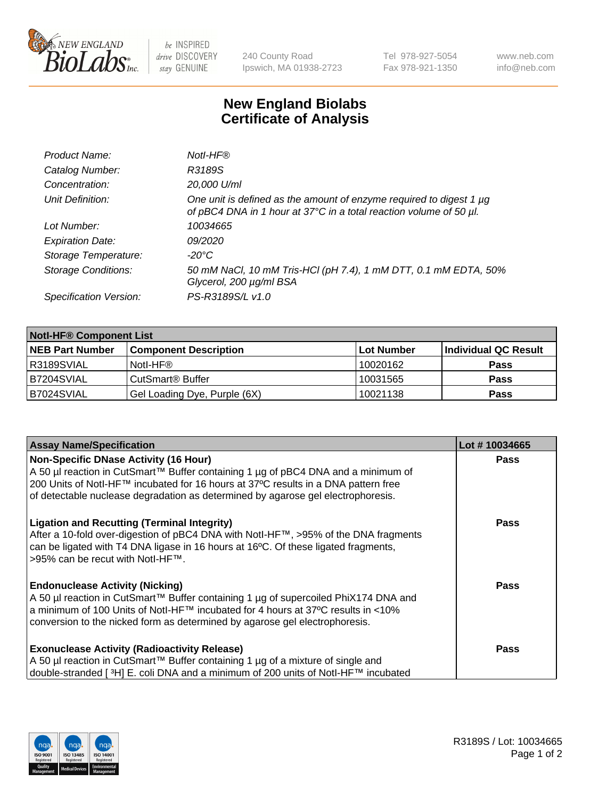

be INSPIRED drive DISCOVERY stay GENUINE

240 County Road Ipswich, MA 01938-2723 Tel 978-927-5054 Fax 978-921-1350 www.neb.com info@neb.com

## **New England Biolabs Certificate of Analysis**

| Product Name:              | Notl-HF®                                                                                                                                  |
|----------------------------|-------------------------------------------------------------------------------------------------------------------------------------------|
| Catalog Number:            | R3189S                                                                                                                                    |
| Concentration:             | 20,000 U/ml                                                                                                                               |
| Unit Definition:           | One unit is defined as the amount of enzyme required to digest 1 µg<br>of pBC4 DNA in 1 hour at 37°C in a total reaction volume of 50 µl. |
| Lot Number:                | 10034665                                                                                                                                  |
| <b>Expiration Date:</b>    | 09/2020                                                                                                                                   |
| Storage Temperature:       | $-20^{\circ}$ C                                                                                                                           |
| <b>Storage Conditions:</b> | 50 mM NaCl, 10 mM Tris-HCl (pH 7.4), 1 mM DTT, 0.1 mM EDTA, 50%<br>Glycerol, 200 µg/ml BSA                                                |
| Specification Version:     | PS-R3189S/L v1.0                                                                                                                          |

| <b>Notl-HF® Component List</b> |                              |            |                      |  |  |
|--------------------------------|------------------------------|------------|----------------------|--|--|
| <b>NEB Part Number</b>         | <b>Component Description</b> | Lot Number | Individual QC Result |  |  |
| R3189SVIAL                     | Notl-HF®                     | 10020162   | <b>Pass</b>          |  |  |
| IB7204SVIAL                    | CutSmart <sup>®</sup> Buffer | 10031565   | <b>Pass</b>          |  |  |
| B7024SVIAL                     | Gel Loading Dye, Purple (6X) | 10021138   | <b>Pass</b>          |  |  |

| <b>Assay Name/Specification</b>                                                     | Lot #10034665 |
|-------------------------------------------------------------------------------------|---------------|
| <b>Non-Specific DNase Activity (16 Hour)</b>                                        | <b>Pass</b>   |
| A 50 µl reaction in CutSmart™ Buffer containing 1 µg of pBC4 DNA and a minimum of   |               |
| 200 Units of Notl-HF™ incubated for 16 hours at 37°C results in a DNA pattern free  |               |
| of detectable nuclease degradation as determined by agarose gel electrophoresis.    |               |
| <b>Ligation and Recutting (Terminal Integrity)</b>                                  | <b>Pass</b>   |
| After a 10-fold over-digestion of pBC4 DNA with NotI-HF™, >95% of the DNA fragments |               |
| can be ligated with T4 DNA ligase in 16 hours at 16°C. Of these ligated fragments,  |               |
| >95% can be recut with Notl-HF™.                                                    |               |
| <b>Endonuclease Activity (Nicking)</b>                                              | Pass          |
| A 50 µl reaction in CutSmart™ Buffer containing 1 µg of supercoiled PhiX174 DNA and |               |
| a minimum of 100 Units of Notl-HF™ incubated for 4 hours at 37°C results in <10%    |               |
| conversion to the nicked form as determined by agarose gel electrophoresis.         |               |
| <b>Exonuclease Activity (Radioactivity Release)</b>                                 | <b>Pass</b>   |
| A 50 µl reaction in CutSmart™ Buffer containing 1 µg of a mixture of single and     |               |
| double-stranded [3H] E. coli DNA and a minimum of 200 units of Notl-HF™ incubated   |               |